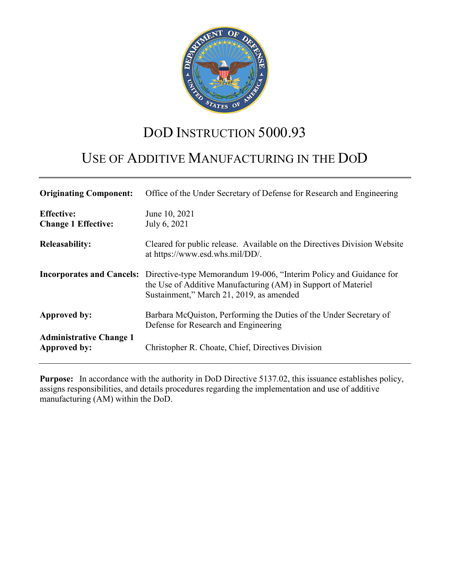

# DOD INSTRUCTION 5000.93

# USE OF ADDITIVE MANUFACTURING IN THE DOD

| <b>Originating Component:</b>                         | Office of the Under Secretary of Defense for Research and Engineering                                                                                                                                            |
|-------------------------------------------------------|------------------------------------------------------------------------------------------------------------------------------------------------------------------------------------------------------------------|
| <b>Effective:</b><br><b>Change 1 Effective:</b>       | June 10, 2021<br>July 6, 2021                                                                                                                                                                                    |
| <b>Releasability:</b>                                 | Cleared for public release. Available on the Directives Division Website<br>at https://www.esd.whs.mil/DD/.                                                                                                      |
|                                                       | <b>Incorporates and Cancels:</b> Directive-type Memorandum 19-006, "Interim Policy and Guidance for<br>the Use of Additive Manufacturing (AM) in Support of Materiel<br>Sustainment," March 21, 2019, as amended |
| <b>Approved by:</b>                                   | Barbara McQuiston, Performing the Duties of the Under Secretary of<br>Defense for Research and Engineering                                                                                                       |
| <b>Administrative Change 1</b><br><b>Approved by:</b> | Christopher R. Choate, Chief, Directives Division                                                                                                                                                                |

**Purpose:** In accordance with the authority in DoD Directive 5137.02, this issuance establishes policy, assigns responsibilities, and details procedures regarding the implementation and use of additive manufacturing (AM) within the DoD.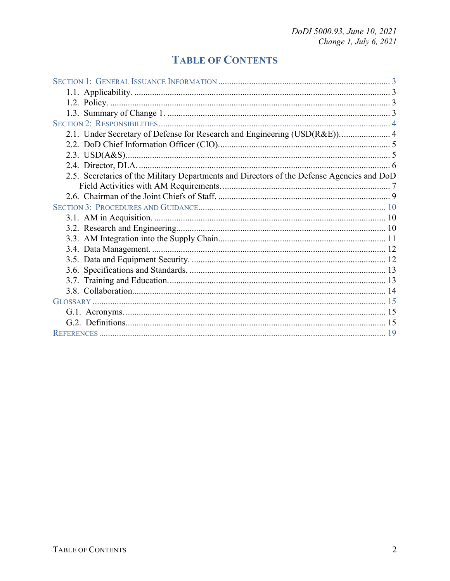# **TABLE OF CONTENTS**

| 2.1. Under Secretary of Defense for Research and Engineering (USD(R&E)) 4                  |
|--------------------------------------------------------------------------------------------|
|                                                                                            |
|                                                                                            |
|                                                                                            |
| 2.5. Secretaries of the Military Departments and Directors of the Defense Agencies and DoD |
|                                                                                            |
|                                                                                            |
|                                                                                            |
|                                                                                            |
|                                                                                            |
|                                                                                            |
|                                                                                            |
|                                                                                            |
|                                                                                            |
|                                                                                            |
|                                                                                            |
|                                                                                            |
|                                                                                            |
|                                                                                            |
|                                                                                            |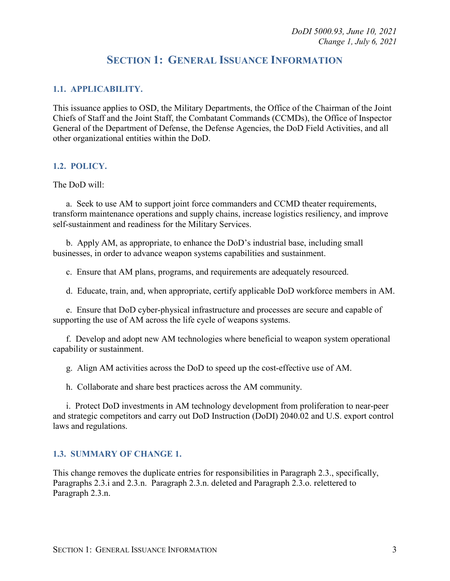# **SECTION 1: GENERAL ISSUANCE INFORMATION**

#### <span id="page-2-1"></span><span id="page-2-0"></span>**1.1. APPLICABILITY.**

This issuance applies to OSD, the Military Departments, the Office of the Chairman of the Joint Chiefs of Staff and the Joint Staff, the Combatant Commands (CCMDs), the Office of Inspector General of the Department of Defense, the Defense Agencies, the DoD Field Activities, and all other organizational entities within the DoD.

#### <span id="page-2-2"></span>**1.2. POLICY.**

The DoD will:

a. Seek to use AM to support joint force commanders and CCMD theater requirements, transform maintenance operations and supply chains, increase logistics resiliency, and improve self-sustainment and readiness for the Military Services.

b. Apply AM, as appropriate, to enhance the DoD's industrial base, including small businesses, in order to advance weapon systems capabilities and sustainment.

c. Ensure that AM plans, programs, and requirements are adequately resourced.

d. Educate, train, and, when appropriate, certify applicable DoD workforce members in AM.

e. Ensure that DoD cyber-physical infrastructure and processes are secure and capable of supporting the use of AM across the life cycle of weapons systems.

f. Develop and adopt new AM technologies where beneficial to weapon system operational capability or sustainment.

g. Align AM activities across the DoD to speed up the cost-effective use of AM.

h. Collaborate and share best practices across the AM community.

i. Protect DoD investments in AM technology development from proliferation to near-peer and strategic competitors and carry out DoD Instruction (DoDI) 2040.02 and U.S. export control laws and regulations.

#### <span id="page-2-3"></span>**1.3. SUMMARY OF CHANGE 1.**

This change removes the duplicate entries for responsibilities in Paragraph 2.3., specifically, Paragraphs 2.3.i and 2.3.n. Paragraph 2.3.n. deleted and Paragraph 2.3.o. relettered to Paragraph 2.3.n.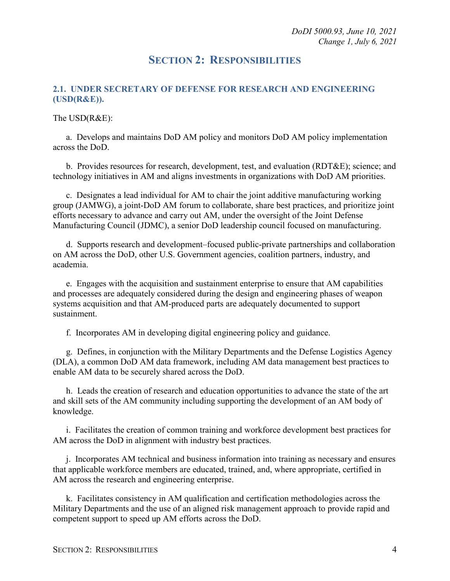*DoDI 5000.93, June 10, 2021 Change 1, July 6, 2021*

## **SECTION 2: RESPONSIBILITIES**

### <span id="page-3-1"></span><span id="page-3-0"></span>**2.1. UNDER SECRETARY OF DEFENSE FOR RESEARCH AND ENGINEERING (USD(R&E)).**

#### The USD(R&E):

a. Develops and maintains DoD AM policy and monitors DoD AM policy implementation across the DoD.

b. Provides resources for research, development, test, and evaluation (RDT&E); science; and technology initiatives in AM and aligns investments in organizations with DoD AM priorities.

c. Designates a lead individual for AM to chair the joint additive manufacturing working group (JAMWG), a joint-DoD AM forum to collaborate, share best practices, and prioritize joint efforts necessary to advance and carry out AM, under the oversight of the Joint Defense Manufacturing Council (JDMC), a senior DoD leadership council focused on manufacturing.

d. Supports research and development–focused public-private partnerships and collaboration on AM across the DoD, other U.S. Government agencies, coalition partners, industry, and academia.

e. Engages with the acquisition and sustainment enterprise to ensure that AM capabilities and processes are adequately considered during the design and engineering phases of weapon systems acquisition and that AM-produced parts are adequately documented to support sustainment.

f. Incorporates AM in developing digital engineering policy and guidance.

g. Defines, in conjunction with the Military Departments and the Defense Logistics Agency (DLA), a common DoD AM data framework, including AM data management best practices to enable AM data to be securely shared across the DoD.

h. Leads the creation of research and education opportunities to advance the state of the art and skill sets of the AM community including supporting the development of an AM body of knowledge.

i. Facilitates the creation of common training and workforce development best practices for AM across the DoD in alignment with industry best practices.

j. Incorporates AM technical and business information into training as necessary and ensures that applicable workforce members are educated, trained, and, where appropriate, certified in AM across the research and engineering enterprise.

k. Facilitates consistency in AM qualification and certification methodologies across the Military Departments and the use of an aligned risk management approach to provide rapid and competent support to speed up AM efforts across the DoD.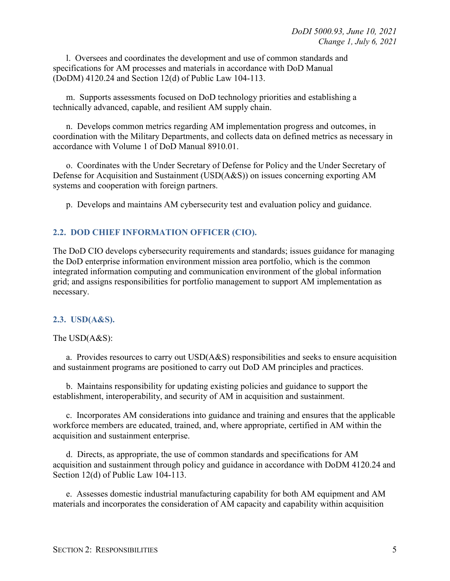l. Oversees and coordinates the development and use of common standards and specifications for AM processes and materials in accordance with DoD Manual (DoDM) 4120.24 and Section 12(d) of Public Law 104-113.

m. Supports assessments focused on DoD technology priorities and establishing a technically advanced, capable, and resilient AM supply chain.

n. Develops common metrics regarding AM implementation progress and outcomes, in coordination with the Military Departments, and collects data on defined metrics as necessary in accordance with Volume 1 of DoD Manual 8910.01.

o. Coordinates with the Under Secretary of Defense for Policy and the Under Secretary of Defense for Acquisition and Sustainment (USD(A&S)) on issues concerning exporting AM systems and cooperation with foreign partners.

p. Develops and maintains AM cybersecurity test and evaluation policy and guidance.

#### <span id="page-4-0"></span>**2.2. DOD CHIEF INFORMATION OFFICER (CIO).**

The DoD CIO develops cybersecurity requirements and standards; issues guidance for managing the DoD enterprise information environment mission area portfolio, which is the common integrated information computing and communication environment of the global information grid; and assigns responsibilities for portfolio management to support AM implementation as necessary.

#### <span id="page-4-1"></span>**2.3. USD(A&S).**

#### The USD(A&S):

a. Provides resources to carry out USD(A&S) responsibilities and seeks to ensure acquisition and sustainment programs are positioned to carry out DoD AM principles and practices.

b. Maintains responsibility for updating existing policies and guidance to support the establishment, interoperability, and security of AM in acquisition and sustainment.

c. Incorporates AM considerations into guidance and training and ensures that the applicable workforce members are educated, trained, and, where appropriate, certified in AM within the acquisition and sustainment enterprise.

d. Directs, as appropriate, the use of common standards and specifications for AM acquisition and sustainment through policy and guidance in accordance with DoDM 4120.24 and Section 12(d) of Public Law 104-113.

e. Assesses domestic industrial manufacturing capability for both AM equipment and AM materials and incorporates the consideration of AM capacity and capability within acquisition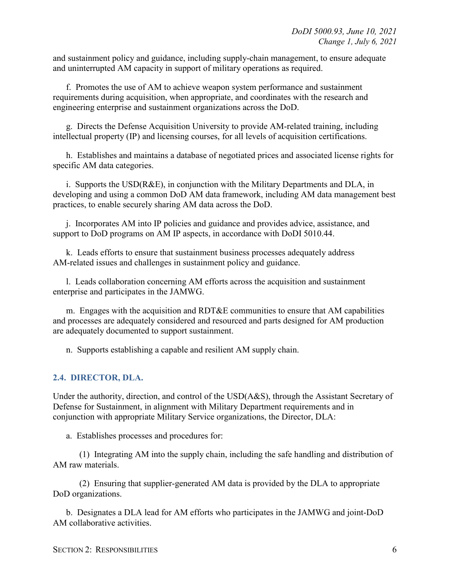and sustainment policy and guidance, including supply-chain management, to ensure adequate and uninterrupted AM capacity in support of military operations as required.

f. Promotes the use of AM to achieve weapon system performance and sustainment requirements during acquisition, when appropriate, and coordinates with the research and engineering enterprise and sustainment organizations across the DoD.

g. Directs the Defense Acquisition University to provide AM-related training, including intellectual property (IP) and licensing courses, for all levels of acquisition certifications.

h. Establishes and maintains a database of negotiated prices and associated license rights for specific AM data categories.

i. Supports the USD(R&E), in conjunction with the Military Departments and DLA, in developing and using a common DoD AM data framework, including AM data management best practices, to enable securely sharing AM data across the DoD.

j. Incorporates AM into IP policies and guidance and provides advice, assistance, and support to DoD programs on AM IP aspects, in accordance with DoDI 5010.44.

k. Leads efforts to ensure that sustainment business processes adequately address AM-related issues and challenges in sustainment policy and guidance.

l. Leads collaboration concerning AM efforts across the acquisition and sustainment enterprise and participates in the JAMWG.

m. Engages with the acquisition and RDT&E communities to ensure that AM capabilities and processes are adequately considered and resourced and parts designed for AM production are adequately documented to support sustainment.

n. Supports establishing a capable and resilient AM supply chain.

#### <span id="page-5-0"></span>**2.4. DIRECTOR, DLA.**

Under the authority, direction, and control of the USD(A&S), through the Assistant Secretary of Defense for Sustainment, in alignment with Military Department requirements and in conjunction with appropriate Military Service organizations, the Director, DLA:

a. Establishes processes and procedures for:

(1) Integrating AM into the supply chain, including the safe handling and distribution of AM raw materials.

(2) Ensuring that supplier-generated AM data is provided by the DLA to appropriate DoD organizations.

b. Designates a DLA lead for AM efforts who participates in the JAMWG and joint-DoD AM collaborative activities.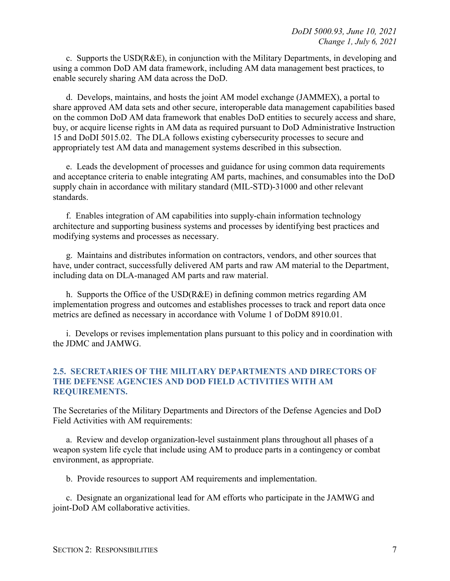c. Supports the  $USD(R&E)$ , in conjunction with the Military Departments, in developing and using a common DoD AM data framework, including AM data management best practices, to enable securely sharing AM data across the DoD.

d. Develops, maintains, and hosts the joint AM model exchange (JAMMEX), a portal to share approved AM data sets and other secure, interoperable data management capabilities based on the common DoD AM data framework that enables DoD entities to securely access and share, buy, or acquire license rights in AM data as required pursuant to DoD Administrative Instruction 15 and DoDI 5015.02. The DLA follows existing cybersecurity processes to secure and appropriately test AM data and management systems described in this subsection.

e. Leads the development of processes and guidance for using common data requirements and acceptance criteria to enable integrating AM parts, machines, and consumables into the DoD supply chain in accordance with military standard (MIL-STD)-31000 and other relevant standards.

f. Enables integration of AM capabilities into supply-chain information technology architecture and supporting business systems and processes by identifying best practices and modifying systems and processes as necessary.

g. Maintains and distributes information on contractors, vendors, and other sources that have, under contract, successfully delivered AM parts and raw AM material to the Department, including data on DLA-managed AM parts and raw material.

h. Supports the Office of the USD(R&E) in defining common metrics regarding AM implementation progress and outcomes and establishes processes to track and report data once metrics are defined as necessary in accordance with Volume 1 of DoDM 8910.01.

i. Develops or revises implementation plans pursuant to this policy and in coordination with the JDMC and JAMWG.

#### <span id="page-6-0"></span>**2.5. SECRETARIES OF THE MILITARY DEPARTMENTS AND DIRECTORS OF THE DEFENSE AGENCIES AND DOD FIELD ACTIVITIES WITH AM REQUIREMENTS.**

The Secretaries of the Military Departments and Directors of the Defense Agencies and DoD Field Activities with AM requirements:

a. Review and develop organization-level sustainment plans throughout all phases of a weapon system life cycle that include using AM to produce parts in a contingency or combat environment, as appropriate.

b. Provide resources to support AM requirements and implementation.

c. Designate an organizational lead for AM efforts who participate in the JAMWG and joint-DoD AM collaborative activities.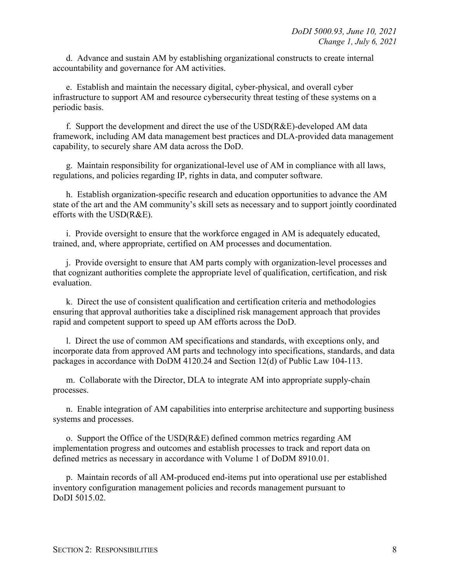d. Advance and sustain AM by establishing organizational constructs to create internal accountability and governance for AM activities.

e. Establish and maintain the necessary digital, cyber-physical, and overall cyber infrastructure to support AM and resource cybersecurity threat testing of these systems on a periodic basis.

f. Support the development and direct the use of the USD(R&E)-developed AM data framework, including AM data management best practices and DLA-provided data management capability, to securely share AM data across the DoD.

g. Maintain responsibility for organizational-level use of AM in compliance with all laws, regulations, and policies regarding IP, rights in data, and computer software.

h. Establish organization-specific research and education opportunities to advance the AM state of the art and the AM community's skill sets as necessary and to support jointly coordinated efforts with the USD(R&E).

i. Provide oversight to ensure that the workforce engaged in AM is adequately educated, trained, and, where appropriate, certified on AM processes and documentation.

j. Provide oversight to ensure that AM parts comply with organization-level processes and that cognizant authorities complete the appropriate level of qualification, certification, and risk evaluation.

k. Direct the use of consistent qualification and certification criteria and methodologies ensuring that approval authorities take a disciplined risk management approach that provides rapid and competent support to speed up AM efforts across the DoD.

l. Direct the use of common AM specifications and standards, with exceptions only, and incorporate data from approved AM parts and technology into specifications, standards, and data packages in accordance with DoDM 4120.24 and Section 12(d) of Public Law 104-113.

m. Collaborate with the Director, DLA to integrate AM into appropriate supply-chain processes.

n. Enable integration of AM capabilities into enterprise architecture and supporting business systems and processes.

o. Support the Office of the USD(R&E) defined common metrics regarding AM implementation progress and outcomes and establish processes to track and report data on defined metrics as necessary in accordance with Volume 1 of DoDM 8910.01.

p. Maintain records of all AM-produced end-items put into operational use per established inventory configuration management policies and records management pursuant to DoDI 5015.02.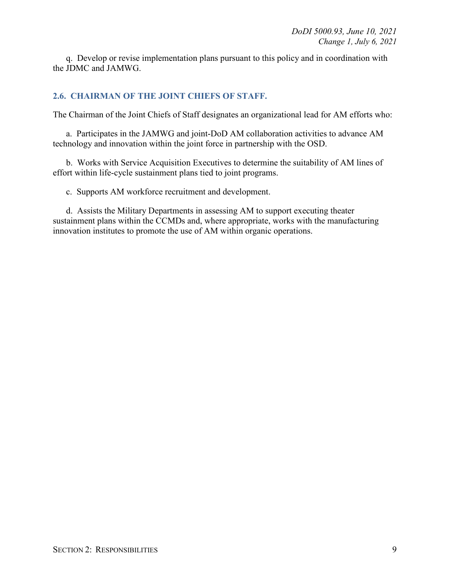q. Develop or revise implementation plans pursuant to this policy and in coordination with the JDMC and JAMWG.

#### <span id="page-8-0"></span>**2.6. CHAIRMAN OF THE JOINT CHIEFS OF STAFF.**

The Chairman of the Joint Chiefs of Staff designates an organizational lead for AM efforts who:

a. Participates in the JAMWG and joint-DoD AM collaboration activities to advance AM technology and innovation within the joint force in partnership with the OSD.

b. Works with Service Acquisition Executives to determine the suitability of AM lines of effort within life-cycle sustainment plans tied to joint programs.

c. Supports AM workforce recruitment and development.

d. Assists the Military Departments in assessing AM to support executing theater sustainment plans within the CCMDs and, where appropriate, works with the manufacturing innovation institutes to promote the use of AM within organic operations.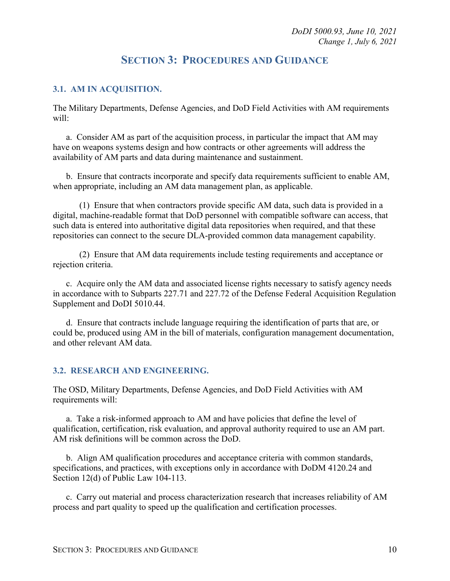# **SECTION 3: PROCEDURES AND GUIDANCE**

#### <span id="page-9-1"></span><span id="page-9-0"></span>**3.1. AM IN ACQUISITION.**

The Military Departments, Defense Agencies, and DoD Field Activities with AM requirements will:

a. Consider AM as part of the acquisition process, in particular the impact that AM may have on weapons systems design and how contracts or other agreements will address the availability of AM parts and data during maintenance and sustainment.

b. Ensure that contracts incorporate and specify data requirements sufficient to enable AM, when appropriate, including an AM data management plan, as applicable.

(1) Ensure that when contractors provide specific AM data, such data is provided in a digital, machine-readable format that DoD personnel with compatible software can access, that such data is entered into authoritative digital data repositories when required, and that these repositories can connect to the secure DLA-provided common data management capability.

(2) Ensure that AM data requirements include testing requirements and acceptance or rejection criteria.

c. Acquire only the AM data and associated license rights necessary to satisfy agency needs in accordance with to Subparts 227.71 and 227.72 of the Defense Federal Acquisition Regulation Supplement and DoDI 5010.44.

d. Ensure that contracts include language requiring the identification of parts that are, or could be, produced using AM in the bill of materials, configuration management documentation, and other relevant AM data.

#### <span id="page-9-2"></span>**3.2. RESEARCH AND ENGINEERING.**

The OSD, Military Departments, Defense Agencies, and DoD Field Activities with AM requirements will:

a. Take a risk-informed approach to AM and have policies that define the level of qualification, certification, risk evaluation, and approval authority required to use an AM part. AM risk definitions will be common across the DoD.

b. Align AM qualification procedures and acceptance criteria with common standards, specifications, and practices, with exceptions only in accordance with DoDM 4120.24 and Section 12(d) of Public Law 104-113.

c. Carry out material and process characterization research that increases reliability of AM process and part quality to speed up the qualification and certification processes.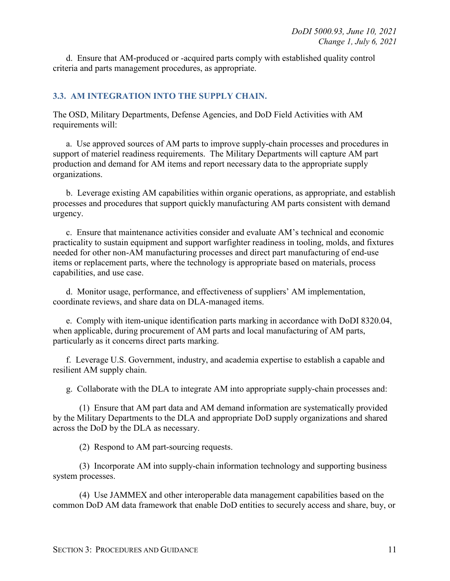d. Ensure that AM-produced or -acquired parts comply with established quality control criteria and parts management procedures, as appropriate.

#### <span id="page-10-0"></span>**3.3. AM INTEGRATION INTO THE SUPPLY CHAIN.**

The OSD, Military Departments, Defense Agencies, and DoD Field Activities with AM requirements will:

a. Use approved sources of AM parts to improve supply-chain processes and procedures in support of materiel readiness requirements. The Military Departments will capture AM part production and demand for AM items and report necessary data to the appropriate supply organizations.

b. Leverage existing AM capabilities within organic operations, as appropriate, and establish processes and procedures that support quickly manufacturing AM parts consistent with demand urgency.

c. Ensure that maintenance activities consider and evaluate AM's technical and economic practicality to sustain equipment and support warfighter readiness in tooling, molds, and fixtures needed for other non-AM manufacturing processes and direct part manufacturing of end-use items or replacement parts, where the technology is appropriate based on materials, process capabilities, and use case.

d. Monitor usage, performance, and effectiveness of suppliers' AM implementation, coordinate reviews, and share data on DLA-managed items.

e. Comply with item-unique identification parts marking in accordance with DoDI 8320.04, when applicable, during procurement of AM parts and local manufacturing of AM parts, particularly as it concerns direct parts marking.

f. Leverage U.S. Government, industry, and academia expertise to establish a capable and resilient AM supply chain.

g. Collaborate with the DLA to integrate AM into appropriate supply-chain processes and:

(1) Ensure that AM part data and AM demand information are systematically provided by the Military Departments to the DLA and appropriate DoD supply organizations and shared across the DoD by the DLA as necessary.

(2) Respond to AM part-sourcing requests.

(3) Incorporate AM into supply-chain information technology and supporting business system processes.

(4) Use JAMMEX and other interoperable data management capabilities based on the common DoD AM data framework that enable DoD entities to securely access and share, buy, or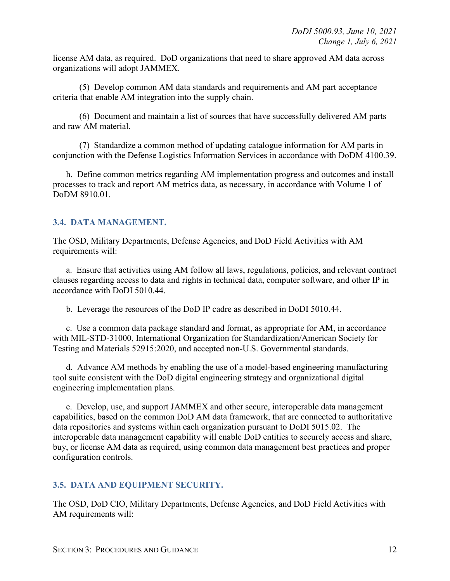license AM data, as required. DoD organizations that need to share approved AM data across organizations will adopt JAMMEX.

(5) Develop common AM data standards and requirements and AM part acceptance criteria that enable AM integration into the supply chain.

(6) Document and maintain a list of sources that have successfully delivered AM parts and raw AM material.

(7) Standardize a common method of updating catalogue information for AM parts in conjunction with the Defense Logistics Information Services in accordance with DoDM 4100.39.

h. Define common metrics regarding AM implementation progress and outcomes and install processes to track and report AM metrics data, as necessary, in accordance with Volume 1 of DoDM 8910.01.

### <span id="page-11-0"></span>**3.4. DATA MANAGEMENT.**

The OSD, Military Departments, Defense Agencies, and DoD Field Activities with AM requirements will:

a. Ensure that activities using AM follow all laws, regulations, policies, and relevant contract clauses regarding access to data and rights in technical data, computer software, and other IP in accordance with DoDI 5010.44.

b. Leverage the resources of the DoD IP cadre as described in DoDI 5010.44.

c. Use a common data package standard and format, as appropriate for AM, in accordance with MIL-STD-31000, International Organization for Standardization/American Society for Testing and Materials 52915:2020, and accepted non-U.S. Governmental standards.

d. Advance AM methods by enabling the use of a model-based engineering manufacturing tool suite consistent with the DoD digital engineering strategy and organizational digital engineering implementation plans.

e. Develop, use, and support JAMMEX and other secure, interoperable data management capabilities, based on the common DoD AM data framework, that are connected to authoritative data repositories and systems within each organization pursuant to DoDI 5015.02. The interoperable data management capability will enable DoD entities to securely access and share, buy, or license AM data as required, using common data management best practices and proper configuration controls.

#### <span id="page-11-1"></span>**3.5. DATA AND EQUIPMENT SECURITY.**

The OSD, DoD CIO, Military Departments, Defense Agencies, and DoD Field Activities with AM requirements will: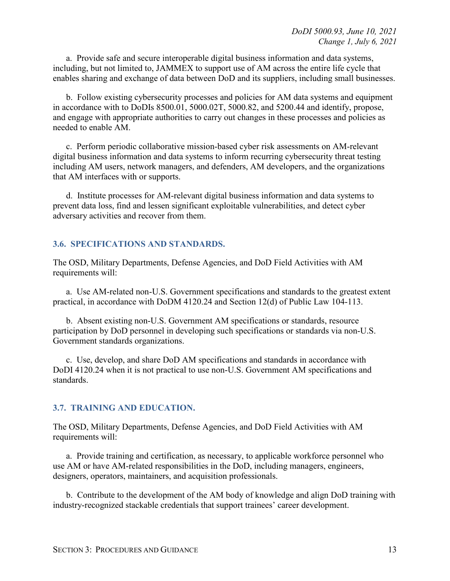a. Provide safe and secure interoperable digital business information and data systems, including, but not limited to, JAMMEX to support use of AM across the entire life cycle that enables sharing and exchange of data between DoD and its suppliers, including small businesses.

b. Follow existing cybersecurity processes and policies for AM data systems and equipment in accordance with to DoDIs 8500.01, 5000.02T, 5000.82, and 5200.44 and identify, propose, and engage with appropriate authorities to carry out changes in these processes and policies as needed to enable AM.

c. Perform periodic collaborative mission-based cyber risk assessments on AM-relevant digital business information and data systems to inform recurring cybersecurity threat testing including AM users, network managers, and defenders, AM developers, and the organizations that AM interfaces with or supports.

d. Institute processes for AM-relevant digital business information and data systems to prevent data loss, find and lessen significant exploitable vulnerabilities, and detect cyber adversary activities and recover from them.

#### <span id="page-12-0"></span>**3.6. SPECIFICATIONS AND STANDARDS.**

The OSD, Military Departments, Defense Agencies, and DoD Field Activities with AM requirements will:

a. Use AM-related non-U.S. Government specifications and standards to the greatest extent practical, in accordance with DoDM 4120.24 and Section 12(d) of Public Law 104-113.

b. Absent existing non-U.S. Government AM specifications or standards, resource participation by DoD personnel in developing such specifications or standards via non-U.S. Government standards organizations.

c. Use, develop, and share DoD AM specifications and standards in accordance with DoDI 4120.24 when it is not practical to use non-U.S. Government AM specifications and standards.

#### <span id="page-12-1"></span>**3.7. TRAINING AND EDUCATION.**

The OSD, Military Departments, Defense Agencies, and DoD Field Activities with AM requirements will:

a. Provide training and certification, as necessary, to applicable workforce personnel who use AM or have AM-related responsibilities in the DoD, including managers, engineers, designers, operators, maintainers, and acquisition professionals.

b. Contribute to the development of the AM body of knowledge and align DoD training with industry-recognized stackable credentials that support trainees' career development.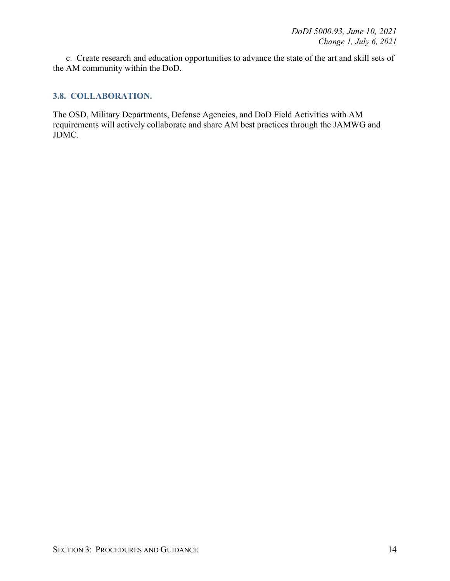c. Create research and education opportunities to advance the state of the art and skill sets of the AM community within the DoD.

#### <span id="page-13-0"></span>**3.8. COLLABORATION.**

The OSD, Military Departments, Defense Agencies, and DoD Field Activities with AM requirements will actively collaborate and share AM best practices through the JAMWG and JDMC.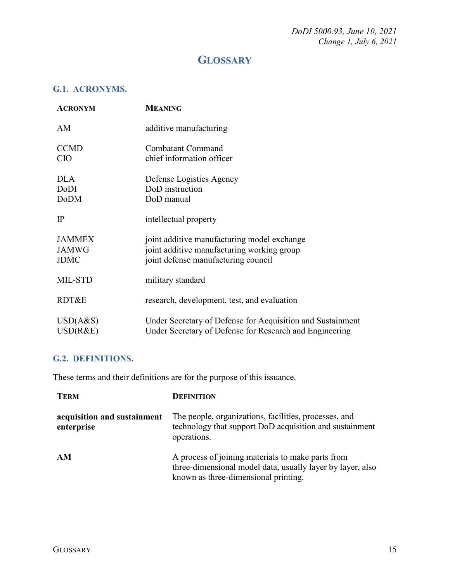*DoDI 5000.93, June 10, 2021 Change 1, July 6, 2021*

# **GLOSSARY**

## <span id="page-14-1"></span><span id="page-14-0"></span>**G.1. ACRONYMS.**

| <b>ACRONYM</b>                               | <b>MEANING</b>                                                                                                                   |
|----------------------------------------------|----------------------------------------------------------------------------------------------------------------------------------|
| AM                                           | additive manufacturing                                                                                                           |
| <b>CCMD</b><br><b>CIO</b>                    | Combatant Command<br>chief information officer                                                                                   |
| <b>DLA</b><br>DoDI<br><b>DoDM</b>            | Defense Logistics Agency<br>DoD instruction<br>DoD manual                                                                        |
| IP                                           | intellectual property                                                                                                            |
| <b>JAMMEX</b><br><b>JAMWG</b><br><b>JDMC</b> | joint additive manufacturing model exchange<br>joint additive manufacturing working group<br>joint defense manufacturing council |
| MIL-STD                                      | military standard                                                                                                                |
| RDT&E                                        | research, development, test, and evaluation                                                                                      |
| USD(A&S)<br>USD(R&E)                         | Under Secretary of Defense for Acquisition and Sustainment<br>Under Secretary of Defense for Research and Engineering            |

### <span id="page-14-2"></span>**G.2. DEFINITIONS.**

These terms and their definitions are for the purpose of this issuance.

| <b>TERM</b>                               | <b>DEFINITION</b>                                                                                                                                       |
|-------------------------------------------|---------------------------------------------------------------------------------------------------------------------------------------------------------|
| acquisition and sustainment<br>enterprise | The people, organizations, facilities, processes, and<br>technology that support DoD acquisition and sustainment<br>operations.                         |
| AM                                        | A process of joining materials to make parts from<br>three-dimensional model data, usually layer by layer, also<br>known as three-dimensional printing. |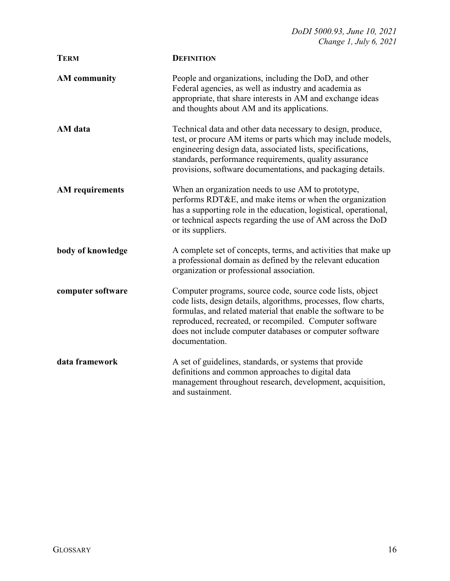| <b>TERM</b>            | <b>DEFINITION</b>                                                                                                                                                                                                                                                                                                                      |
|------------------------|----------------------------------------------------------------------------------------------------------------------------------------------------------------------------------------------------------------------------------------------------------------------------------------------------------------------------------------|
| <b>AM</b> community    | People and organizations, including the DoD, and other<br>Federal agencies, as well as industry and academia as<br>appropriate, that share interests in AM and exchange ideas<br>and thoughts about AM and its applications.                                                                                                           |
| AM data                | Technical data and other data necessary to design, produce,<br>test, or procure AM items or parts which may include models,<br>engineering design data, associated lists, specifications,<br>standards, performance requirements, quality assurance<br>provisions, software documentations, and packaging details.                     |
| <b>AM</b> requirements | When an organization needs to use AM to prototype,<br>performs RDT&E, and make items or when the organization<br>has a supporting role in the education, logistical, operational,<br>or technical aspects regarding the use of AM across the DoD<br>or its suppliers.                                                                  |
| body of knowledge      | A complete set of concepts, terms, and activities that make up<br>a professional domain as defined by the relevant education<br>organization or professional association.                                                                                                                                                              |
| computer software      | Computer programs, source code, source code lists, object<br>code lists, design details, algorithms, processes, flow charts,<br>formulas, and related material that enable the software to be<br>reproduced, recreated, or recompiled. Computer software<br>does not include computer databases or computer software<br>documentation. |
| data framework         | A set of guidelines, standards, or systems that provide<br>definitions and common approaches to digital data<br>management throughout research, development, acquisition,<br>and sustainment.                                                                                                                                          |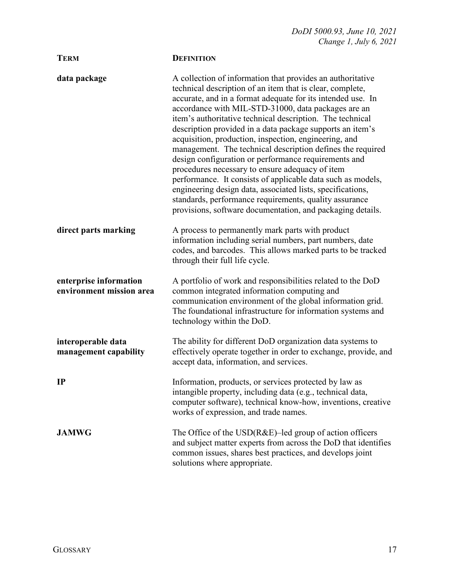| <b>TERM</b>                                        | <b>DEFINITION</b>                                                                                                                                                                                                                                                                                                                                                                                                                                                                                                                                                                                                                                                                                                                                                                                                                                              |
|----------------------------------------------------|----------------------------------------------------------------------------------------------------------------------------------------------------------------------------------------------------------------------------------------------------------------------------------------------------------------------------------------------------------------------------------------------------------------------------------------------------------------------------------------------------------------------------------------------------------------------------------------------------------------------------------------------------------------------------------------------------------------------------------------------------------------------------------------------------------------------------------------------------------------|
| data package                                       | A collection of information that provides an authoritative<br>technical description of an item that is clear, complete,<br>accurate, and in a format adequate for its intended use. In<br>accordance with MIL-STD-31000, data packages are an<br>item's authoritative technical description. The technical<br>description provided in a data package supports an item's<br>acquisition, production, inspection, engineering, and<br>management. The technical description defines the required<br>design configuration or performance requirements and<br>procedures necessary to ensure adequacy of item<br>performance. It consists of applicable data such as models,<br>engineering design data, associated lists, specifications,<br>standards, performance requirements, quality assurance<br>provisions, software documentation, and packaging details. |
| direct parts marking                               | A process to permanently mark parts with product<br>information including serial numbers, part numbers, date<br>codes, and barcodes. This allows marked parts to be tracked<br>through their full life cycle.                                                                                                                                                                                                                                                                                                                                                                                                                                                                                                                                                                                                                                                  |
| enterprise information<br>environment mission area | A portfolio of work and responsibilities related to the DoD<br>common integrated information computing and<br>communication environment of the global information grid.<br>The foundational infrastructure for information systems and<br>technology within the DoD.                                                                                                                                                                                                                                                                                                                                                                                                                                                                                                                                                                                           |
| interoperable data<br>management capability        | The ability for different DoD organization data systems to<br>effectively operate together in order to exchange, provide, and<br>accept data, information, and services.                                                                                                                                                                                                                                                                                                                                                                                                                                                                                                                                                                                                                                                                                       |
| IP                                                 | Information, products, or services protected by law as<br>intangible property, including data (e.g., technical data,<br>computer software), technical know-how, inventions, creative<br>works of expression, and trade names.                                                                                                                                                                                                                                                                                                                                                                                                                                                                                                                                                                                                                                  |
| <b>JAMWG</b>                                       | The Office of the $USD(R&E)$ -led group of action officers<br>and subject matter experts from across the DoD that identifies<br>common issues, shares best practices, and develops joint<br>solutions where appropriate.                                                                                                                                                                                                                                                                                                                                                                                                                                                                                                                                                                                                                                       |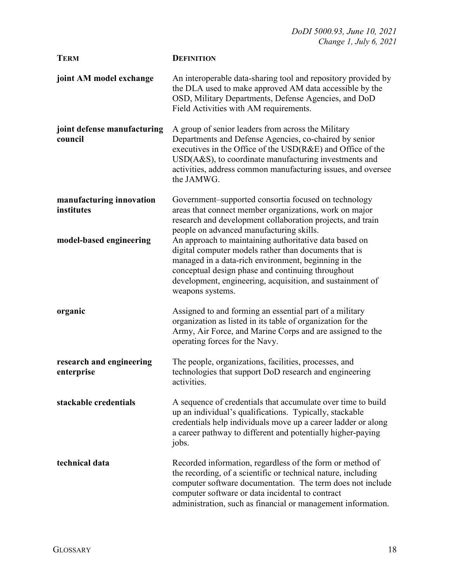| <b>TERM</b>                            | <b>DEFINITION</b>                                                                                                                                                                                                                                                                                                      |
|----------------------------------------|------------------------------------------------------------------------------------------------------------------------------------------------------------------------------------------------------------------------------------------------------------------------------------------------------------------------|
| joint AM model exchange                | An interoperable data-sharing tool and repository provided by<br>the DLA used to make approved AM data accessible by the<br>OSD, Military Departments, Defense Agencies, and DoD<br>Field Activities with AM requirements.                                                                                             |
| joint defense manufacturing<br>council | A group of senior leaders from across the Military<br>Departments and Defense Agencies, co-chaired by senior<br>executives in the Office of the $USD(R&E)$ and Office of the<br>$USD(A&S)$ , to coordinate manufacturing investments and<br>activities, address common manufacturing issues, and oversee<br>the JAMWG. |
| manufacturing innovation<br>institutes | Government-supported consortia focused on technology<br>areas that connect member organizations, work on major<br>research and development collaboration projects, and train<br>people on advanced manufacturing skills.                                                                                               |
| model-based engineering                | An approach to maintaining authoritative data based on<br>digital computer models rather than documents that is<br>managed in a data-rich environment, beginning in the<br>conceptual design phase and continuing throughout<br>development, engineering, acquisition, and sustainment of<br>weapons systems.          |
| organic                                | Assigned to and forming an essential part of a military<br>organization as listed in its table of organization for the<br>Army, Air Force, and Marine Corps and are assigned to the<br>operating forces for the Navy.                                                                                                  |
| research and engineering<br>enterprise | The people, organizations, facilities, processes, and<br>technologies that support DoD research and engineering<br>activities                                                                                                                                                                                          |
| stackable credentials                  | A sequence of credentials that accumulate over time to build<br>up an individual's qualifications. Typically, stackable<br>credentials help individuals move up a career ladder or along<br>a career pathway to different and potentially higher-paying<br>jobs.                                                       |
| technical data                         | Recorded information, regardless of the form or method of<br>the recording, of a scientific or technical nature, including<br>computer software documentation. The term does not include<br>computer software or data incidental to contract<br>administration, such as financial or management information.           |